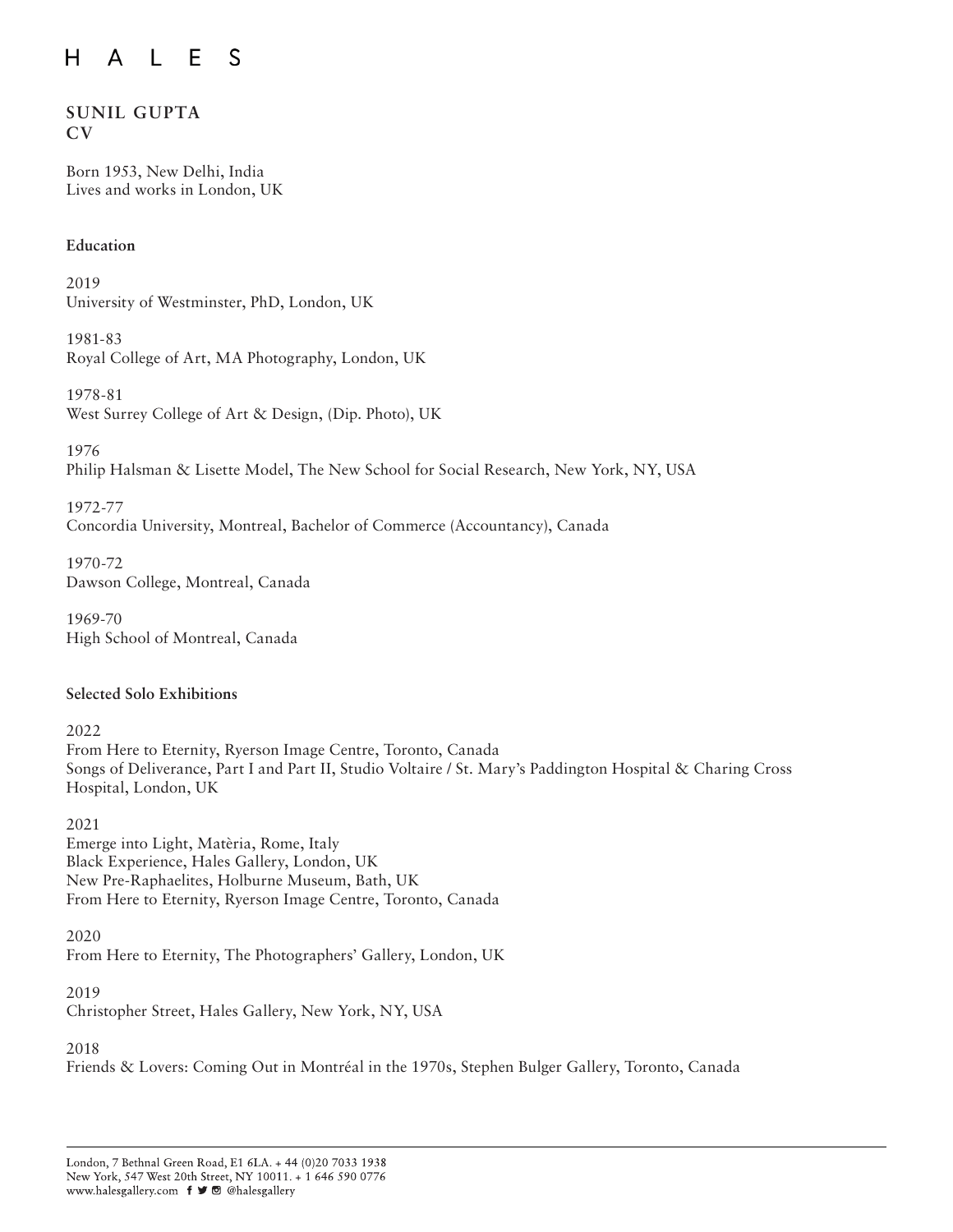# **SUNIL GUPTA CV**

Born 1953, New Delhi, India Lives and works in London, UK

# **Education**

2019 University of Westminster, PhD, London, UK

1981-83 Royal College of Art, MA Photography, London, UK

1978-81 West Surrey College of Art & Design, (Dip. Photo), UK

1976 Philip Halsman & Lisette Model, The New School for Social Research, New York, NY, USA

1972-77 Concordia University, Montreal, Bachelor of Commerce (Accountancy), Canada

1970-72 Dawson College, Montreal, Canada

1969-70 High School of Montreal, Canada

# **Selected Solo Exhibitions**

2022 From Here to Eternity, Ryerson Image Centre, Toronto, Canada Songs of Deliverance, Part I and Part II, Studio Voltaire / St. Mary's Paddington Hospital & Charing Cross Hospital, London, UK

2021 Emerge into Light, Matèria, Rome, Italy Black Experience, Hales Gallery, London, UK New Pre-Raphaelites, Holburne Museum, Bath, UK From Here to Eternity, Ryerson Image Centre, Toronto, Canada

2020 From Here to Eternity, The Photographers' Gallery, London, UK

2019

Christopher Street, Hales Gallery, New York, NY, USA

2018

Friends & Lovers: Coming Out in Montréal in the 1970s, Stephen Bulger Gallery, Toronto, Canada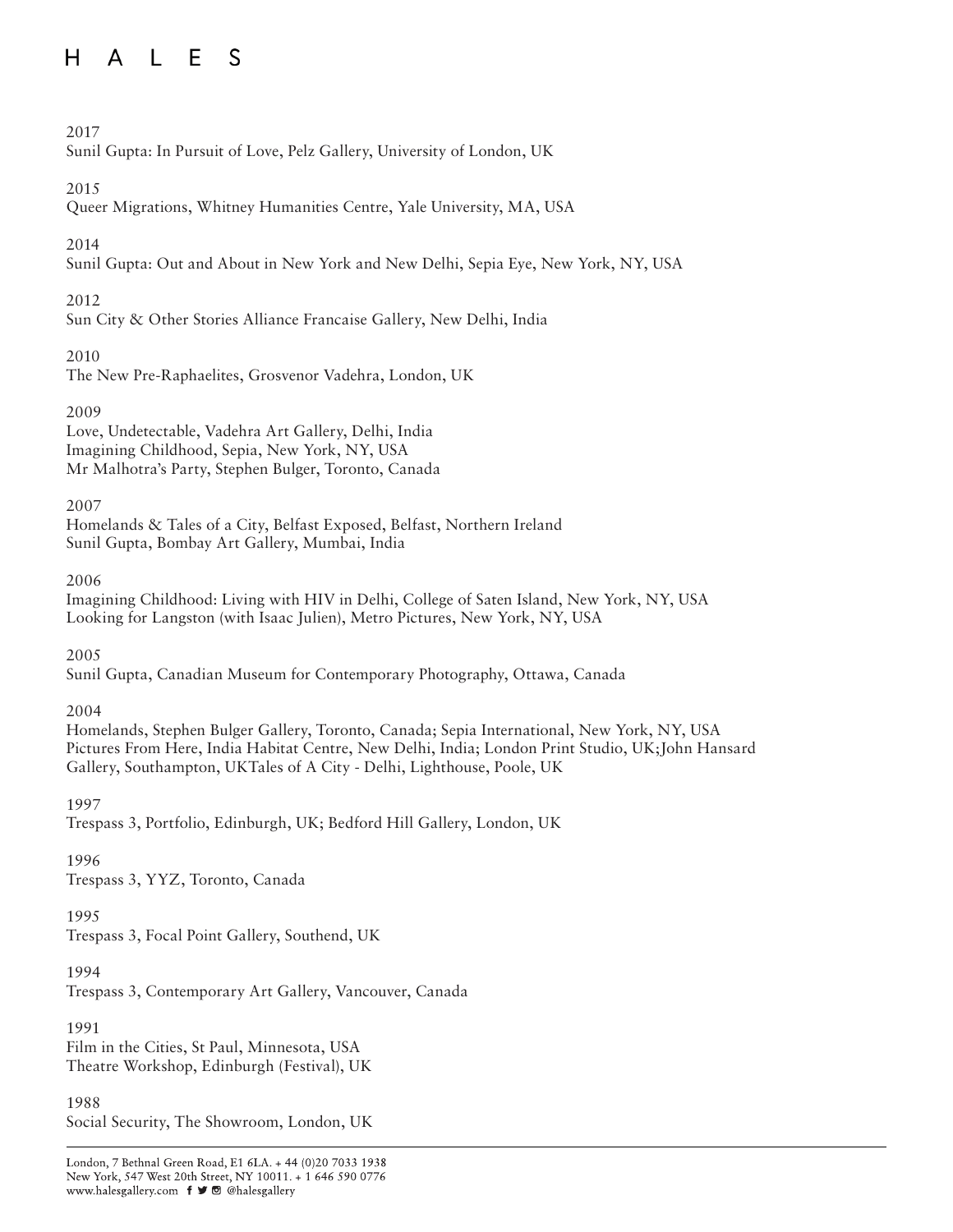# 2017

Sunil Gupta: In Pursuit of Love, Pelz Gallery, University of London, UK

# 2015

Queer Migrations, Whitney Humanities Centre, Yale University, MA, USA

# 2014

Sunil Gupta: Out and About in New York and New Delhi, Sepia Eye, New York, NY, USA

# 2012

Sun City & Other Stories Alliance Francaise Gallery, New Delhi, India

# 2010

The New Pre-Raphaelites, Grosvenor Vadehra, London, UK

# 2009

Love, Undetectable, Vadehra Art Gallery, Delhi, India Imagining Childhood, Sepia, New York, NY, USA Mr Malhotra's Party, Stephen Bulger, Toronto, Canada

# 2007

Homelands & Tales of a City, Belfast Exposed, Belfast, Northern Ireland Sunil Gupta, Bombay Art Gallery, Mumbai, India

2006

Imagining Childhood: Living with HIV in Delhi, College of Saten Island, New York, NY, USA Looking for Langston (with Isaac Julien), Metro Pictures, New York, NY, USA

2005

Sunil Gupta, Canadian Museum for Contemporary Photography, Ottawa, Canada

# 2004

Homelands, Stephen Bulger Gallery, Toronto, Canada; Sepia International, New York, NY, USA Pictures From Here, India Habitat Centre, New Delhi, India; London Print Studio, UK;John Hansard Gallery, Southampton, UKTales of A City - Delhi, Lighthouse, Poole, UK

# 1997

Trespass 3, Portfolio, Edinburgh, UK; Bedford Hill Gallery, London, UK

# 1996

Trespass 3, YYZ, Toronto, Canada

# 1995

Trespass 3, Focal Point Gallery, Southend, UK

# 1994

Trespass 3, Contemporary Art Gallery, Vancouver, Canada

# 1991

Film in the Cities, St Paul, Minnesota, USA Theatre Workshop, Edinburgh (Festival), UK

#### 1988

Social Security, The Showroom, London, UK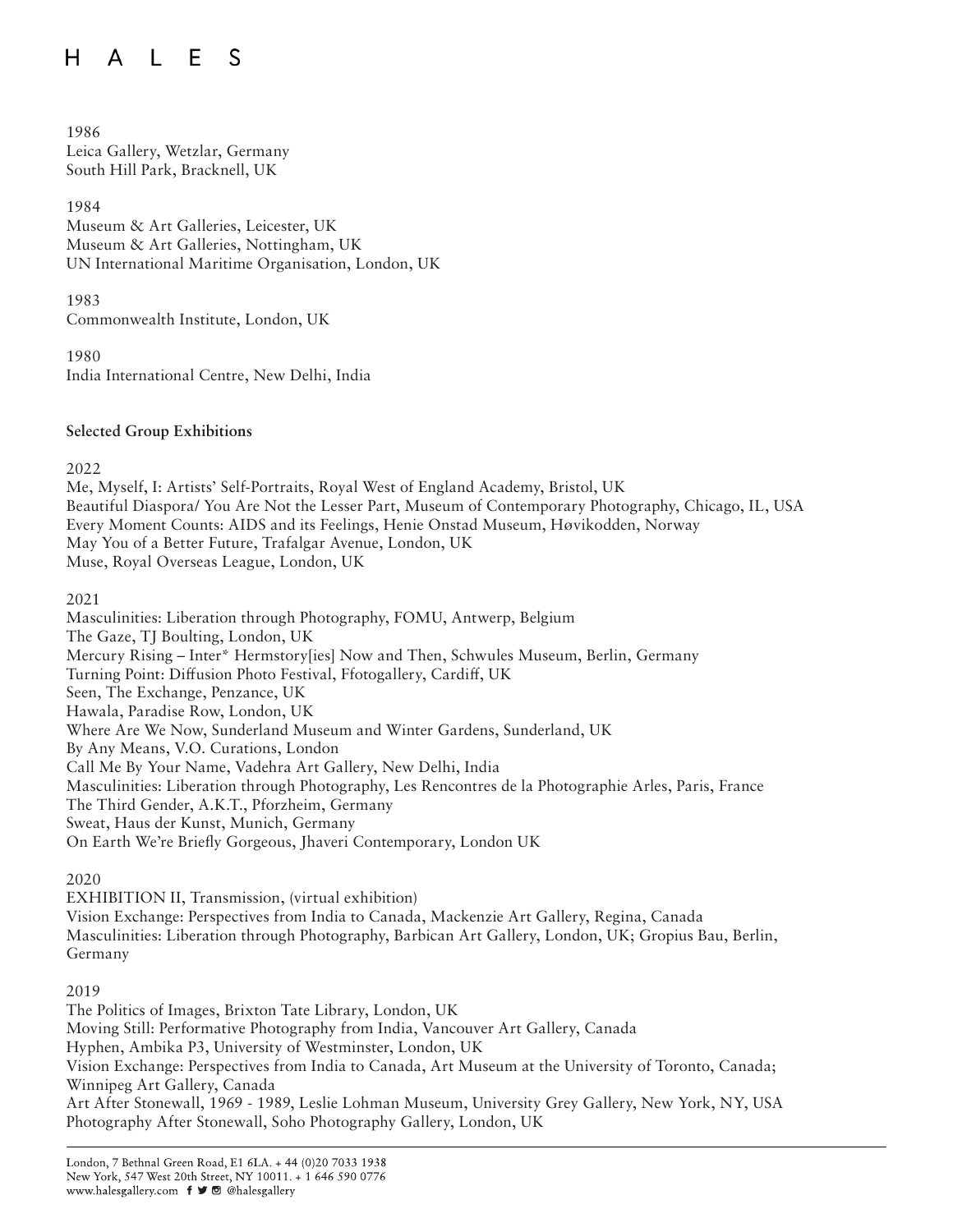#### H A L E S

1986 Leica Gallery, Wetzlar, Germany South Hill Park, Bracknell, UK

1984 Museum & Art Galleries, Leicester, UK Museum & Art Galleries, Nottingham, UK UN International Maritime Organisation, London, UK

1983

Commonwealth Institute, London, UK

1980 India International Centre, New Delhi, India

## **Selected Group Exhibitions**

2022

Me, Myself, I: Artists' Self-Portraits, Royal West of England Academy, Bristol, UK Beautiful Diaspora/ You Are Not the Lesser Part, Museum of Contemporary Photography, Chicago, IL, USA Every Moment Counts: AIDS and its Feelings, Henie Onstad Museum, Høvikodden, Norway May You of a Better Future, Trafalgar Avenue, London, UK Muse, Royal Overseas League, London, UK

2021

Masculinities: Liberation through Photography, FOMU, Antwerp, Belgium The Gaze, TJ Boulting, London, UK Mercury Rising – Inter\* Hermstory[ies] Now and Then, Schwules Museum, Berlin, Germany Turning Point: Diffusion Photo Festival, Ffotogallery, Cardiff, UK Seen, The Exchange, Penzance, UK Hawala, Paradise Row, London, UK Where Are We Now, Sunderland Museum and Winter Gardens, Sunderland, UK By Any Means, V.O. Curations, London Call Me By Your Name, Vadehra Art Gallery, New Delhi, India Masculinities: Liberation through Photography, Les Rencontres de la Photographie Arles, Paris, France The Third Gender, A.K.T., Pforzheim, Germany Sweat, Haus der Kunst, Munich, Germany On Earth We're Briefly Gorgeous, Jhaveri Contemporary, London UK

# 2020

EXHIBITION II, Transmission, (virtual exhibition) Vision Exchange: Perspectives from India to Canada, Mackenzie Art Gallery, Regina, Canada Masculinities: Liberation through Photography, Barbican Art Gallery, London, UK; Gropius Bau, Berlin, Germany

#### 2019

The Politics of Images, Brixton Tate Library, London, UK Moving Still: Performative Photography from India, Vancouver Art Gallery, Canada Hyphen, Ambika P3, University of Westminster, London, UK Vision Exchange: Perspectives from India to Canada, Art Museum at the University of Toronto, Canada; Winnipeg Art Gallery, Canada Art After Stonewall, 1969 - 1989, Leslie Lohman Museum, University Grey Gallery, New York, NY, USA Photography After Stonewall, Soho Photography Gallery, London, UK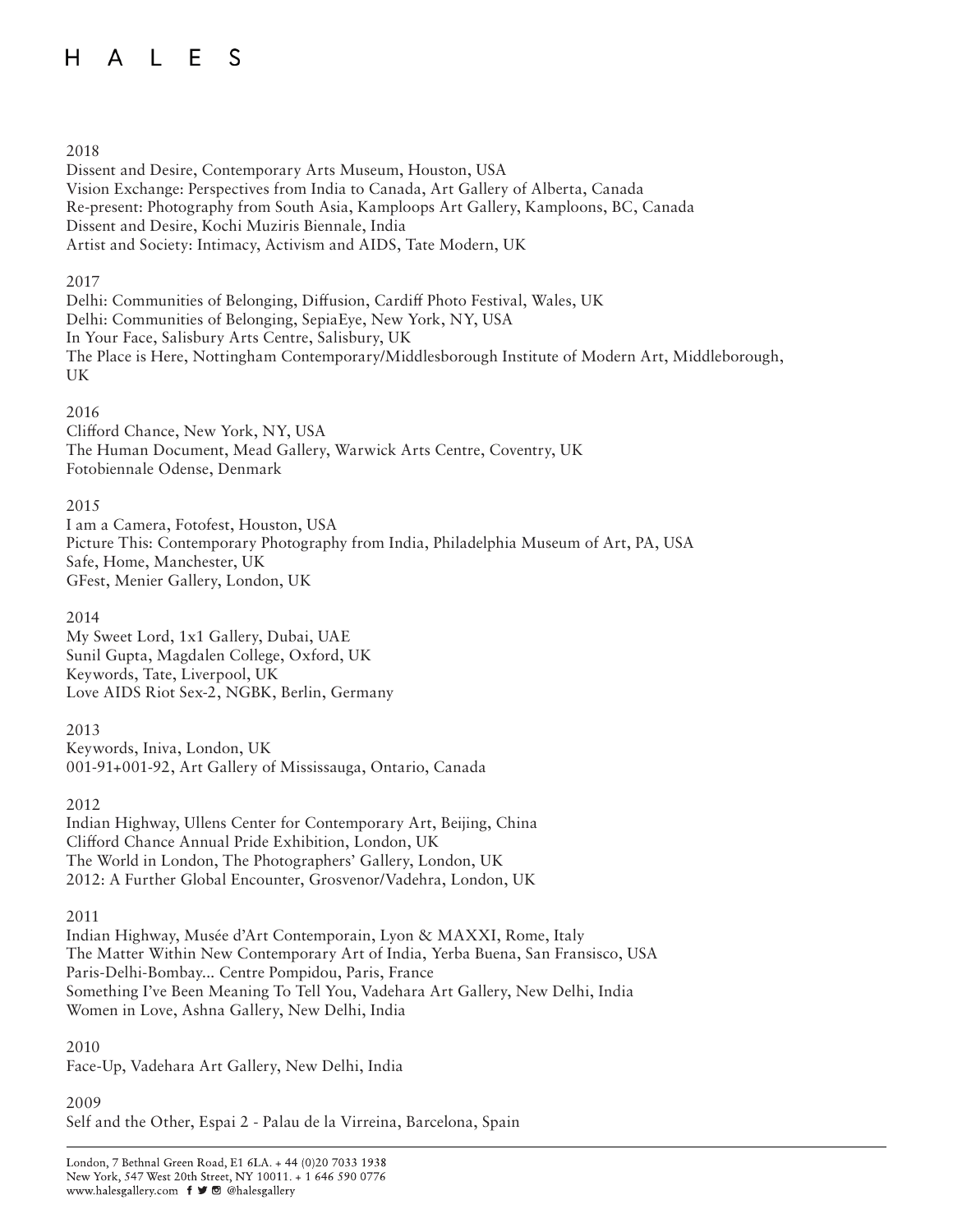#### H A L E S

#### 2018

Dissent and Desire, Contemporary Arts Museum, Houston, USA Vision Exchange: Perspectives from India to Canada, Art Gallery of Alberta, Canada Re-present: Photography from South Asia, Kamploops Art Gallery, Kamploons, BC, Canada Dissent and Desire, Kochi Muziris Biennale, India Artist and Society: Intimacy, Activism and AIDS, Tate Modern, UK

## 2017

Delhi: Communities of Belonging, Diffusion, Cardiff Photo Festival, Wales, UK Delhi: Communities of Belonging, SepiaEye, New York, NY, USA In Your Face, Salisbury Arts Centre, Salisbury, UK The Place is Here, Nottingham Contemporary/Middlesborough Institute of Modern Art, Middleborough, UK

## 2016

Clifford Chance, New York, NY, USA The Human Document, Mead Gallery, Warwick Arts Centre, Coventry, UK Fotobiennale Odense, Denmark

## 2015

I am a Camera, Fotofest, Houston, USA Picture This: Contemporary Photography from India, Philadelphia Museum of Art, PA, USA Safe, Home, Manchester, UK GFest, Menier Gallery, London, UK

# 2014

My Sweet Lord, 1x1 Gallery, Dubai, UAE Sunil Gupta, Magdalen College, Oxford, UK Keywords, Tate, Liverpool, UK Love AIDS Riot Sex-2, NGBK, Berlin, Germany

2013 Keywords, Iniva, London, UK 001-91+001-92, Art Gallery of Mississauga, Ontario, Canada

2012 Indian Highway, Ullens Center for Contemporary Art, Beijing, China Clifford Chance Annual Pride Exhibition, London, UK The World in London, The Photographers' Gallery, London, UK

2012: A Further Global Encounter, Grosvenor/Vadehra, London, UK

2011

Indian Highway, Musée d'Art Contemporain, Lyon & MAXXI, Rome, Italy The Matter Within New Contemporary Art of India, Yerba Buena, San Fransisco, USA Paris-Delhi-Bombay... Centre Pompidou, Paris, France Something I've Been Meaning To Tell You, Vadehara Art Gallery, New Delhi, India Women in Love, Ashna Gallery, New Delhi, India

#### 2010

Face-Up, Vadehara Art Gallery, New Delhi, India

2009 Self and the Other, Espai 2 - Palau de la Virreina, Barcelona, Spain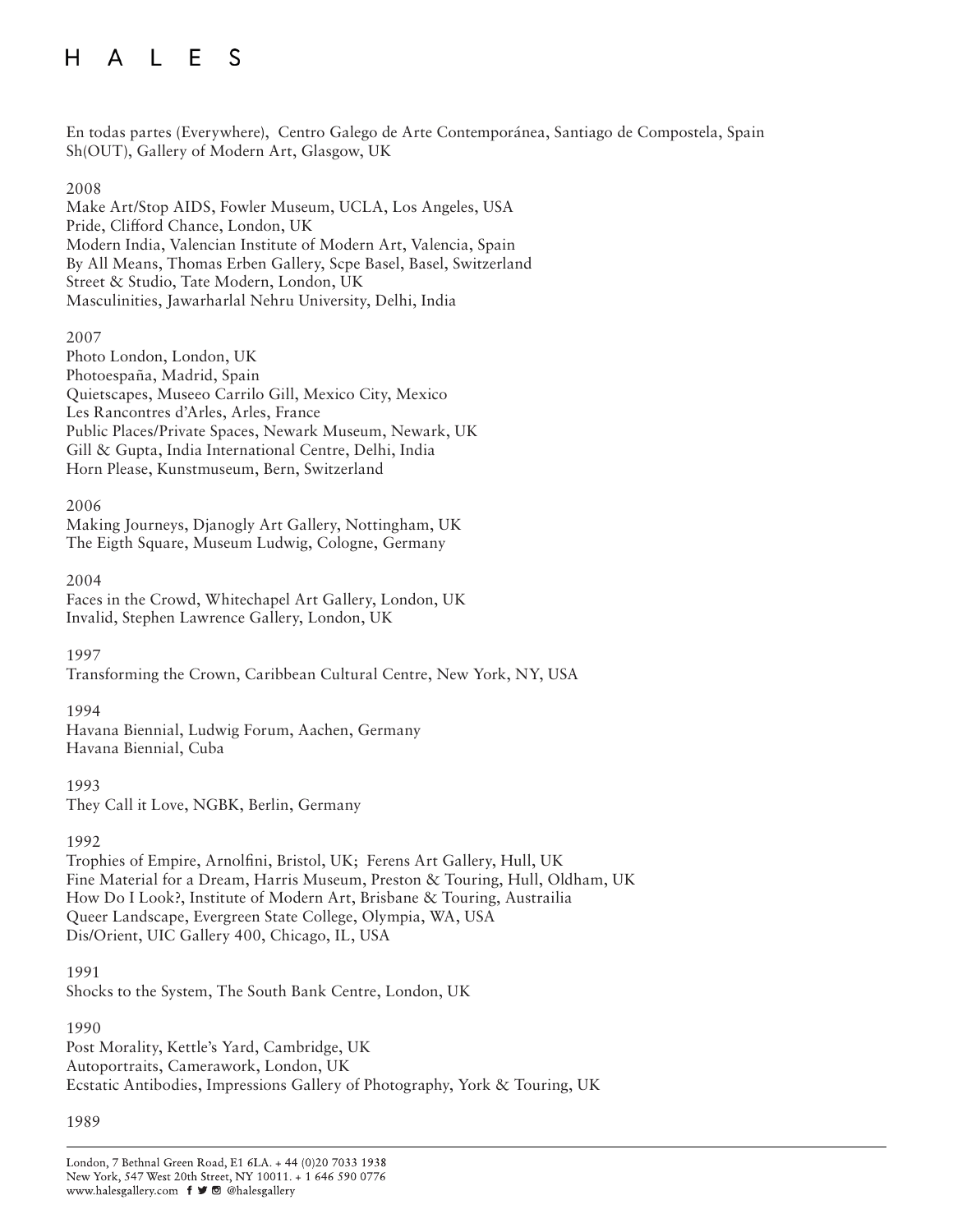#### H A L E S

En todas partes (Everywhere), Centro Galego de Arte Contemporánea, Santiago de Compostela, Spain Sh(OUT), Gallery of Modern Art, Glasgow, UK

# 2008

Make Art/Stop AIDS, Fowler Museum, UCLA, Los Angeles, USA Pride, Clifford Chance, London, UK Modern India, Valencian Institute of Modern Art, Valencia, Spain By All Means, Thomas Erben Gallery, Scpe Basel, Basel, Switzerland Street & Studio, Tate Modern, London, UK Masculinities, Jawarharlal Nehru University, Delhi, India

#### 2007

Photo London, London, UK Photoespaña, Madrid, Spain Quietscapes, Museeo Carrilo Gill, Mexico City, Mexico Les Rancontres d'Arles, Arles, France Public Places/Private Spaces, Newark Museum, Newark, UK Gill & Gupta, India International Centre, Delhi, India Horn Please, Kunstmuseum, Bern, Switzerland

## 2006

Making Journeys, Djanogly Art Gallery, Nottingham, UK The Eigth Square, Museum Ludwig, Cologne, Germany

## 2004

Faces in the Crowd, Whitechapel Art Gallery, London, UK Invalid, Stephen Lawrence Gallery, London, UK

#### 1997

Transforming the Crown, Caribbean Cultural Centre, New York, NY, USA

#### 1994

Havana Biennial, Ludwig Forum, Aachen, Germany Havana Biennial, Cuba

1993 They Call it Love, NGBK, Berlin, Germany

#### 1992

Trophies of Empire, Arnolfini, Bristol, UK; Ferens Art Gallery, Hull, UK Fine Material for a Dream, Harris Museum, Preston & Touring, Hull, Oldham, UK How Do I Look?, Institute of Modern Art, Brisbane & Touring, Austrailia Queer Landscape, Evergreen State College, Olympia, WA, USA Dis/Orient, UIC Gallery 400, Chicago, IL, USA

1991

Shocks to the System, The South Bank Centre, London, UK

## 1990

Post Morality, Kettle's Yard, Cambridge, UK Autoportraits, Camerawork, London, UK Ecstatic Antibodies, Impressions Gallery of Photography, York & Touring, UK

#### 1989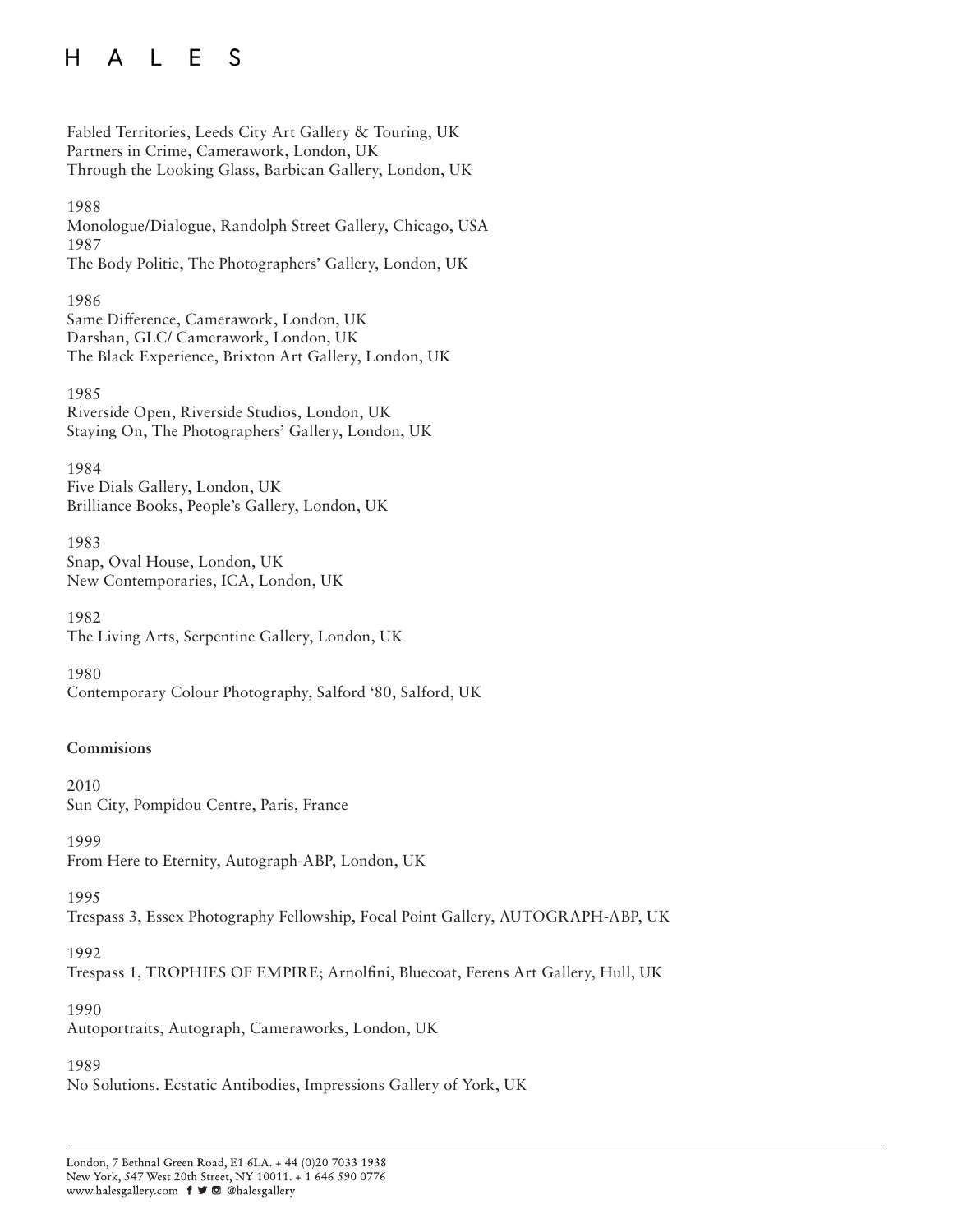Fabled Territories, Leeds City Art Gallery & Touring, UK Partners in Crime, Camerawork, London, UK Through the Looking Glass, Barbican Gallery, London, UK

1988 Monologue/Dialogue, Randolph Street Gallery, Chicago, USA 1987 The Body Politic, The Photographers' Gallery, London, UK

1986 Same Difference, Camerawork, London, UK Darshan, GLC/ Camerawork, London, UK The Black Experience, Brixton Art Gallery, London, UK

1985 Riverside Open, Riverside Studios, London, UK Staying On, The Photographers' Gallery, London, UK

1984 Five Dials Gallery, London, UK Brilliance Books, People's Gallery, London, UK

1983 Snap, Oval House, London, UK New Contemporaries, ICA, London, UK

1982 The Living Arts, Serpentine Gallery, London, UK

1980 Contemporary Colour Photography, Salford '80, Salford, UK

#### **Commisions**

2010 Sun City, Pompidou Centre, Paris, France

1999 From Here to Eternity, Autograph-ABP, London, UK

1995

Trespass 3, Essex Photography Fellowship, Focal Point Gallery, AUTOGRAPH-ABP, UK

1992

Trespass 1, TROPHIES OF EMPIRE; Arnolfini, Bluecoat, Ferens Art Gallery, Hull, UK

1990

Autoportraits, Autograph, Cameraworks, London, UK

#### 1989

No Solutions. Ecstatic Antibodies, Impressions Gallery of York, UK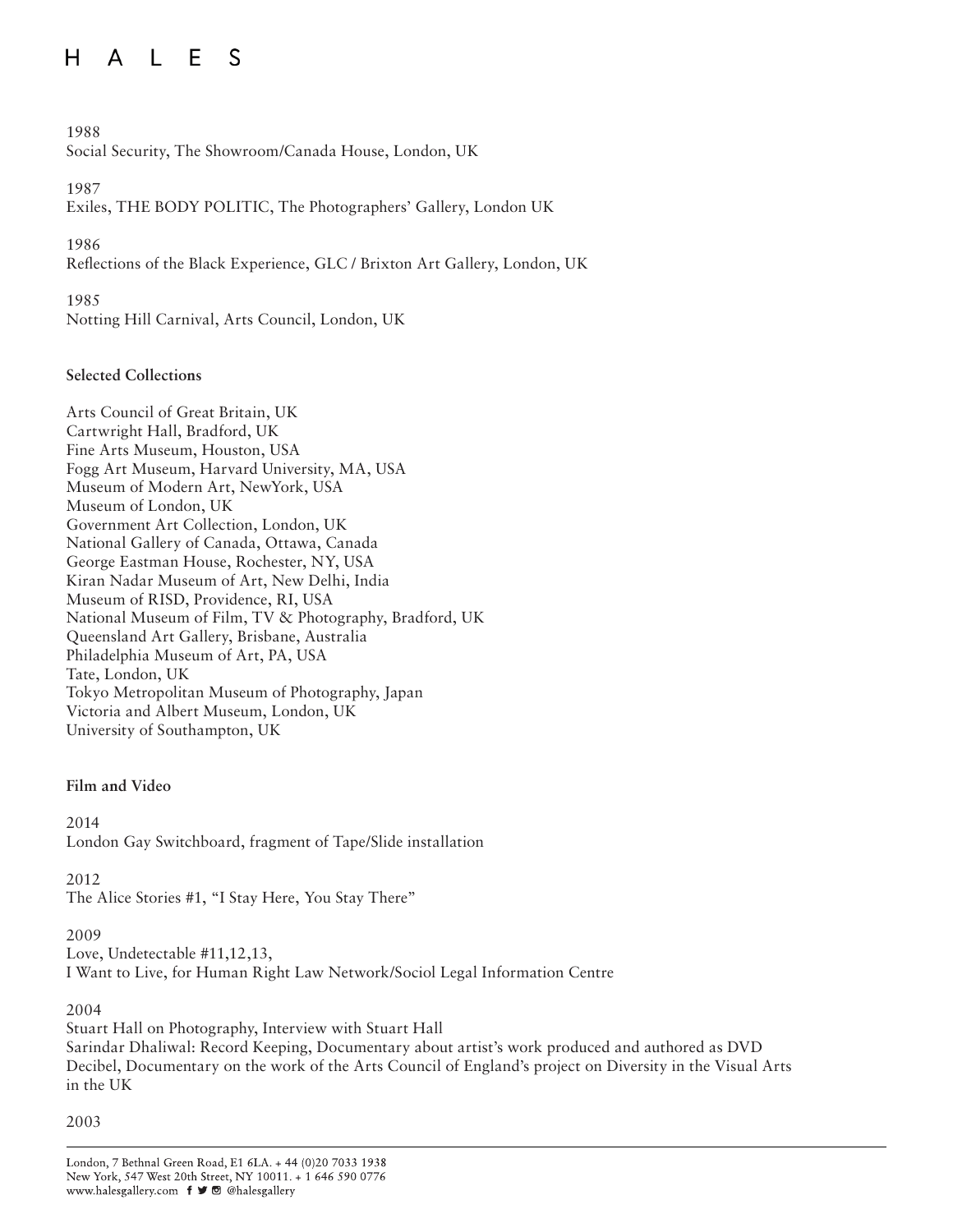# H A L E S

## 1988

Social Security, The Showroom/Canada House, London, UK

#### 1987

Exiles, THE BODY POLITIC, The Photographers' Gallery, London UK

# 1986

Reflections of the Black Experience, GLC / Brixton Art Gallery, London, UK

1985 Notting Hill Carnival, Arts Council, London, UK

# **Selected Collections**

Arts Council of Great Britain, UK Cartwright Hall, Bradford, UK Fine Arts Museum, Houston, USA Fogg Art Museum, Harvard University, MA, USA Museum of Modern Art, NewYork, USA Museum of London, UK Government Art Collection, London, UK National Gallery of Canada, Ottawa, Canada George Eastman House, Rochester, NY, USA Kiran Nadar Museum of Art, New Delhi, India Museum of RISD, Providence, RI, USA National Museum of Film, TV & Photography, Bradford, UK Queensland Art Gallery, Brisbane, Australia Philadelphia Museum of Art, PA, USA Tate, London, UK Tokyo Metropolitan Museum of Photography, Japan Victoria and Albert Museum, London, UK University of Southampton, UK

#### **Film and Video**

2014 London Gay Switchboard, fragment of Tape/Slide installation

2012

The Alice Stories #1, "I Stay Here, You Stay There"

# 2009

Love, Undetectable #11,12,13, I Want to Live, for Human Right Law Network/Sociol Legal Information Centre

# 2004

Stuart Hall on Photography, Interview with Stuart Hall Sarindar Dhaliwal: Record Keeping, Documentary about artist's work produced and authored as DVD Decibel, Documentary on the work of the Arts Council of England's project on Diversity in the Visual Arts in the UK

2003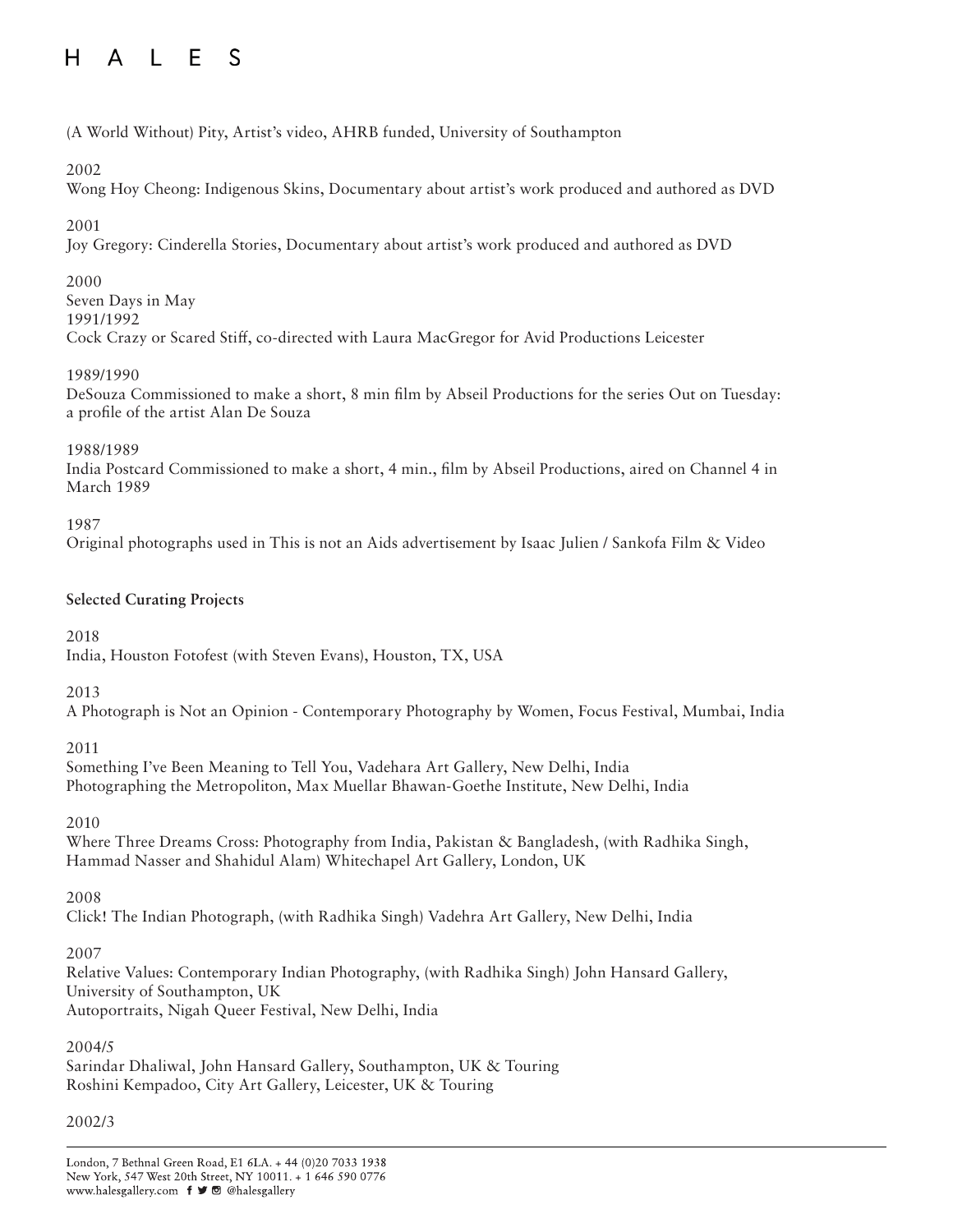# H A L E S

# (A World Without) Pity, Artist's video, AHRB funded, University of Southampton

# 2002

Wong Hoy Cheong: Indigenous Skins, Documentary about artist's work produced and authored as DVD

# 2001

Joy Gregory: Cinderella Stories, Documentary about artist's work produced and authored as DVD

# 2000

Seven Days in May 1991/1992 Cock Crazy or Scared Stiff, co-directed with Laura MacGregor for Avid Productions Leicester

# 1989/1990

DeSouza Commissioned to make a short, 8 min film by Abseil Productions for the series Out on Tuesday: a profile of the artist Alan De Souza

1988/1989

India Postcard Commissioned to make a short, 4 min., film by Abseil Productions, aired on Channel 4 in March 1989

1987

Original photographs used in This is not an Aids advertisement by Isaac Julien / Sankofa Film & Video

# **Selected Curating Projects**

2018

India, Houston Fotofest (with Steven Evans), Houston, TX, USA

2013

A Photograph is Not an Opinion - Contemporary Photography by Women, Focus Festival, Mumbai, India

# 2011

Something I've Been Meaning to Tell You, Vadehara Art Gallery, New Delhi, India Photographing the Metropoliton, Max Muellar Bhawan-Goethe Institute, New Delhi, India

2010

Where Three Dreams Cross: Photography from India, Pakistan & Bangladesh, (with Radhika Singh, Hammad Nasser and Shahidul Alam) Whitechapel Art Gallery, London, UK

2008

Click! The Indian Photograph, (with Radhika Singh) Vadehra Art Gallery, New Delhi, India

# 2007

Relative Values: Contemporary Indian Photography, (with Radhika Singh) John Hansard Gallery, University of Southampton, UK Autoportraits, Nigah Queer Festival, New Delhi, India

# 2004/5

Sarindar Dhaliwal, John Hansard Gallery, Southampton, UK & Touring Roshini Kempadoo, City Art Gallery, Leicester, UK & Touring

# 2002/3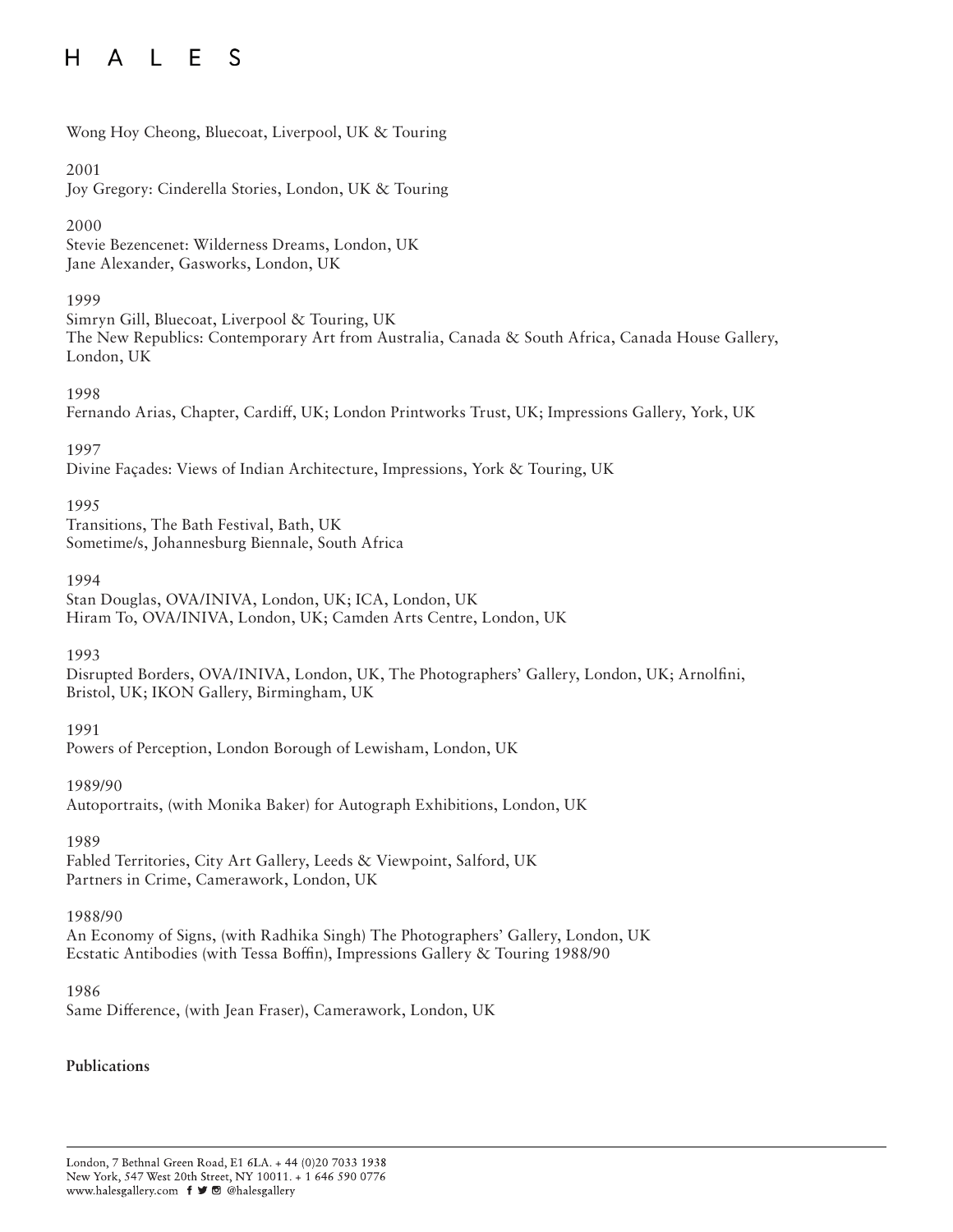Wong Hoy Cheong, Bluecoat, Liverpool, UK & Touring

## 2001

Joy Gregory: Cinderella Stories, London, UK & Touring

# 2000

Stevie Bezencenet: Wilderness Dreams, London, UK Jane Alexander, Gasworks, London, UK

# 1999

Simryn Gill, Bluecoat, Liverpool & Touring, UK The New Republics: Contemporary Art from Australia, Canada & South Africa, Canada House Gallery, London, UK

# 1998

Fernando Arias, Chapter, Cardiff, UK; London Printworks Trust, UK; Impressions Gallery, York, UK

## 1997

Divine Façades: Views of Indian Architecture, Impressions, York & Touring, UK

## 1995

Transitions, The Bath Festival, Bath, UK Sometime/s, Johannesburg Biennale, South Africa

#### 1994

Stan Douglas, OVA/INIVA, London, UK; ICA, London, UK Hiram To, OVA/INIVA, London, UK; Camden Arts Centre, London, UK

#### 1993

Disrupted Borders, OVA/INIVA, London, UK, The Photographers' Gallery, London, UK; Arnolfini, Bristol, UK; IKON Gallery, Birmingham, UK

# 1991

Powers of Perception, London Borough of Lewisham, London, UK

#### 1989/90

Autoportraits, (with Monika Baker) for Autograph Exhibitions, London, UK

#### 1989

Fabled Territories, City Art Gallery, Leeds & Viewpoint, Salford, UK Partners in Crime, Camerawork, London, UK

# 1988/90

An Economy of Signs, (with Radhika Singh) The Photographers' Gallery, London, UK Ecstatic Antibodies (with Tessa Boffin), Impressions Gallery & Touring 1988/90

#### 1986

Same Difference, (with Jean Fraser), Camerawork, London, UK

# **Publications**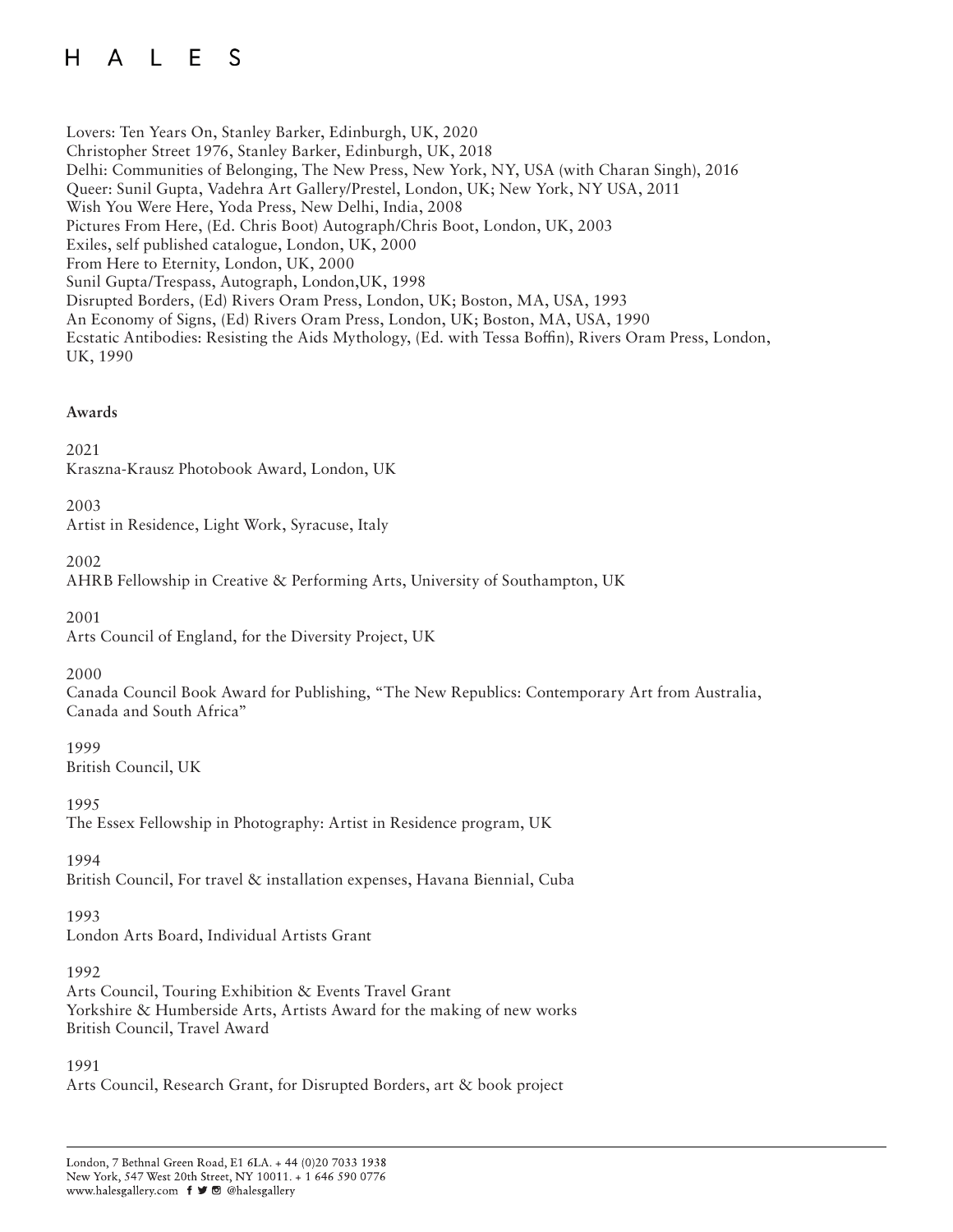Lovers: Ten Years On, Stanley Barker, Edinburgh, UK, 2020 Christopher Street 1976, Stanley Barker, Edinburgh, UK, 2018 Delhi: Communities of Belonging, The New Press, New York, NY, USA (with Charan Singh), 2016 Queer: Sunil Gupta, Vadehra Art Gallery/Prestel, London, UK; New York, NY USA, 2011 Wish You Were Here, Yoda Press, New Delhi, India, 2008 Pictures From Here, (Ed. Chris Boot) Autograph/Chris Boot, London, UK, 2003 Exiles, self published catalogue, London, UK, 2000 From Here to Eternity, London, UK, 2000 Sunil Gupta/Trespass, Autograph, London,UK, 1998 Disrupted Borders, (Ed) Rivers Oram Press, London, UK; Boston, MA, USA, 1993 An Economy of Signs, (Ed) Rivers Oram Press, London, UK; Boston, MA, USA, 1990 Ecstatic Antibodies: Resisting the Aids Mythology, (Ed. with Tessa Boffin), Rivers Oram Press, London, UK, 1990

## **Awards**

## 2021

Kraszna-Krausz Photobook Award, London, UK

#### 2003

Artist in Residence, Light Work, Syracuse, Italy

2002

AHRB Fellowship in Creative & Performing Arts, University of Southampton, UK

2001

Arts Council of England, for the Diversity Project, UK

2000

Canada Council Book Award for Publishing, "The New Republics: Contemporary Art from Australia, Canada and South Africa"

1999 British Council, UK

1995 The Essex Fellowship in Photography: Artist in Residence program, UK

1994

British Council, For travel & installation expenses, Havana Biennial, Cuba

1993

London Arts Board, Individual Artists Grant

1992

Arts Council, Touring Exhibition & Events Travel Grant Yorkshire & Humberside Arts, Artists Award for the making of new works British Council, Travel Award

1991

Arts Council, Research Grant, for Disrupted Borders, art & book project